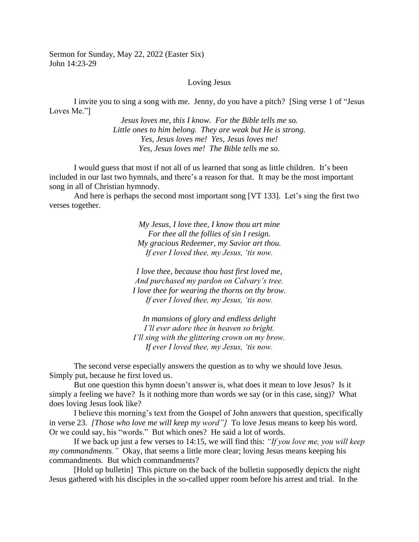Sermon for Sunday, May 22, 2022 (Easter Six) John 14:23-29

## Loving Jesus

I invite you to sing a song with me. Jenny, do you have a pitch? [Sing verse 1 of "Jesus Loves Me."]

> *Jesus loves me, this I know. For the Bible tells me so. Little ones to him belong. They are weak but He is strong. Yes, Jesus loves me! Yes, Jesus loves me! Yes, Jesus loves me! The Bible tells me so.*

I would guess that most if not all of us learned that song as little children. It's been included in our last two hymnals, and there's a reason for that. It may be the most important song in all of Christian hymnody.

And here is perhaps the second most important song [VT 133]. Let's sing the first two verses together.

> *My Jesus, I love thee, I know thou art mine For thee all the follies of sin I resign. My gracious Redeemer, my Savior art thou. If ever I loved thee, my Jesus, 'tis now.*

*I love thee, because thou hast first loved me, And purchased my pardon on Calvary's tree. I love thee for wearing the thorns on thy brow. If ever I loved thee, my Jesus, 'tis now.*

*In mansions of glory and endless delight I'll ever adore thee in heaven so bright. I'll sing with the glittering crown on my brow. If ever I loved thee, my Jesus, 'tis now.*

The second verse especially answers the question as to why we should love Jesus. Simply put, because he first loved us.

But one question this hymn doesn't answer is, what does it mean to love Jesus? Is it simply a feeling we have? Is it nothing more than words we say (or in this case, sing)? What does loving Jesus look like?

I believe this morning's text from the Gospel of John answers that question, specifically in verse 23. *[Those who love me will keep my word"]* To love Jesus means to keep his word. Or we could say, his "words." But which ones? He said a lot of words.

If we back up just a few verses to 14:15, we will find this: *"If you love me, you will keep my commandments."* Okay, that seems a little more clear; loving Jesus means keeping his commandments. But which commandments?

[Hold up bulletin] This picture on the back of the bulletin supposedly depicts the night Jesus gathered with his disciples in the so-called upper room before his arrest and trial. In the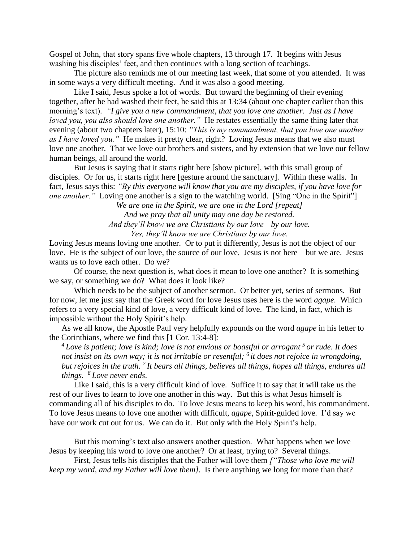Gospel of John, that story spans five whole chapters, 13 through 17. It begins with Jesus washing his disciples' feet, and then continues with a long section of teachings.

The picture also reminds me of our meeting last week, that some of you attended. It was in some ways a very difficult meeting. And it was also a good meeting.

Like I said, Jesus spoke a lot of words. But toward the beginning of their evening together, after he had washed their feet, he said this at 13:34 (about one chapter earlier than this morning's text). *"I give you a new commandment, that you love one another. Just as I have loved you, you also should love one another."* He restates essentially the same thing later that evening (about two chapters later), 15:10: *"This is my commandment, that you love one another as I have loved you."* He makes it pretty clear, right? Loving Jesus means that we also must love one another. That we love our brothers and sisters, and by extension that we love our fellow human beings, all around the world.

But Jesus is saying that it starts right here [show picture], with this small group of disciples. Or for us, it starts right here [gesture around the sanctuary]. Within these walls. In fact, Jesus says this: *"By this everyone will know that you are my disciples, if you have love for one another.*" Loving one another is a sign to the watching world. [Sing "One in the Spirit"]

*We are one in the Spirit, we are one in the Lord [repeat] And we pray that all unity may one day be restored. And they'll know we are Christians by our love—by our love. Yes, they'll know we are Christians by our love.*

Loving Jesus means loving one another. Or to put it differently, Jesus is not the object of our love. He is the subject of our love, the source of our love. Jesus is not here—but we are. Jesus wants us to love each other. Do we?

Of course, the next question is, what does it mean to love one another? It is something we say, or something we do? What does it look like?

Which needs to be the subject of another sermon. Or better yet, series of sermons. But for now, let me just say that the Greek word for love Jesus uses here is the word *agape.* Which refers to a very special kind of love, a very difficult kind of love. The kind, in fact, which is impossible without the Holy Spirit's help.

As we all know, the Apostle Paul very helpfully expounds on the word *agape* in his letter to the Corinthians, where we find this [1 Cor. 13:4-8]*:* 

<sup>4</sup> Love is patient; love is kind; love is not envious or boastful or arrogant <sup>5</sup> or rude. It does *not insist on its own way; it is not irritable or resentful; <sup>6</sup> it does not rejoice in wrongdoing, but rejoices in the truth. <sup>7</sup> It bears all things, believes all things, hopes all things, endures all things. <sup>8</sup> Love never ends.*

Like I said, this is a very difficult kind of love. Suffice it to say that it will take us the rest of our lives to learn to love one another in this way. But this is what Jesus himself is commanding all of his disciples to do. To love Jesus means to keep his word, his commandment. To love Jesus means to love one another with difficult, *agape,* Spirit-guided love. I'd say we have our work cut out for us. We can do it. But only with the Holy Spirit's help.

But this morning's text also answers another question. What happens when we love Jesus by keeping his word to love one another? Or at least, trying to? Several things.

First, Jesus tells his disciples that the Father will love them *["Those who love me will keep my word, and my Father will love them]*. Is there anything we long for more than that?